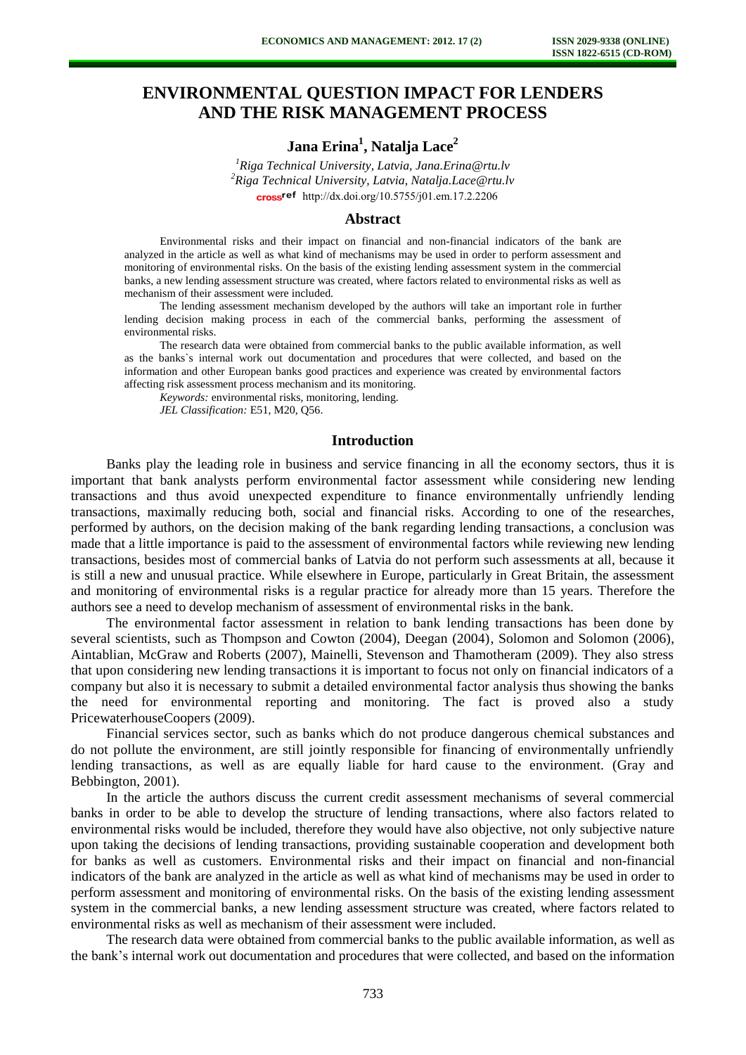# **ENVIRONMENTAL QUESTION IMPACT FOR LENDERS AND THE RISK MANAGEMENT PROCESS**

# **Jana Erina<sup>1</sup> , Natalja Lace<sup>2</sup>**

*<sup>1</sup>Riga Technical University, Latvia, Jana.Erina@rtu.lv <sup>2</sup>Riga Technical University, Latvia, Natalja.Lace@rtu.lv*  cross<sup>ref</sup> [http://dx.doi.org/10.5755/j01.e](http://dx.doi.org/10.5755/j01.em.17.2.2206)m.17.2.2206

### **Abstract**

Environmental risks and their impact on financial and non-financial indicators of the bank are analyzed in the article as well as what kind of mechanisms may be used in order to perform assessment and monitoring of environmental risks. On the basis of the existing lending assessment system in the commercial banks, a new lending assessment structure was created, where factors related to environmental risks as well as mechanism of their assessment were included.

The lending assessment mechanism developed by the authors will take an important role in further lending decision making process in each of the commercial banks, performing the assessment of environmental risks.

The research data were obtained from commercial banks to the public available information, as well as the banks`s internal work out documentation and procedures that were collected, and based on the information and other European banks good practices and experience was created by environmental factors affecting risk assessment process mechanism and its monitoring.

*Keywords:* environmental risks, monitoring, lending.

*JEL Classification:* E51, M20, Q56.

#### **Introduction**

Banks play the leading role in business and service financing in all the economy sectors, thus it is important that bank analysts perform environmental factor assessment while considering new lending transactions and thus avoid unexpected expenditure to finance environmentally unfriendly lending transactions, maximally reducing both, social and financial risks. According to one of the researches, performed by authors, on the decision making of the bank regarding lending transactions, a conclusion was made that a little importance is paid to the assessment of environmental factors while reviewing new lending transactions, besides most of commercial banks of Latvia do not perform such assessments at all, because it is still a new and unusual practice. While elsewhere in Europe, particularly in Great Britain, the assessment and monitoring of environmental risks is a regular practice for already more than 15 years. Therefore the authors see a need to develop mechanism of assessment of environmental risks in the bank.

The environmental factor assessment in relation to bank lending transactions has been done by several scientists, such as Thompson and Cowton (2004), Deegan (2004), Solomon and Solomon (2006), Aintablian, McGraw and Roberts (2007), Mainelli, Stevenson and Thamotheram (2009). They also stress that upon considering new lending transactions it is important to focus not only on financial indicators of a company but also it is necessary to submit a detailed environmental factor analysis thus showing the banks the need for environmental reporting and monitoring. The fact is proved also a study PricewaterhouseCoopers (2009).

Financial services sector, such as banks which do not produce dangerous chemical substances and do not pollute the environment, are still jointly responsible for financing of environmentally unfriendly lending transactions, as well as are equally liable for hard cause to the environment. (Gray and Bebbington, 2001).

In the article the authors discuss the current credit assessment mechanisms of several commercial banks in order to be able to develop the structure of lending transactions, where also factors related to environmental risks would be included, therefore they would have also objective, not only subjective nature upon taking the decisions of lending transactions, providing sustainable cooperation and development both for banks as well as customers. Environmental risks and their impact on financial and non-financial indicators of the bank are analyzed in the article as well as what kind of mechanisms may be used in order to perform assessment and monitoring of environmental risks. On the basis of the existing lending assessment system in the commercial banks, a new lending assessment structure was created, where factors related to environmental risks as well as mechanism of their assessment were included.

The research data were obtained from commercial banks to the public available information, as well as the bank's internal work out documentation and procedures that were collected, and based on the information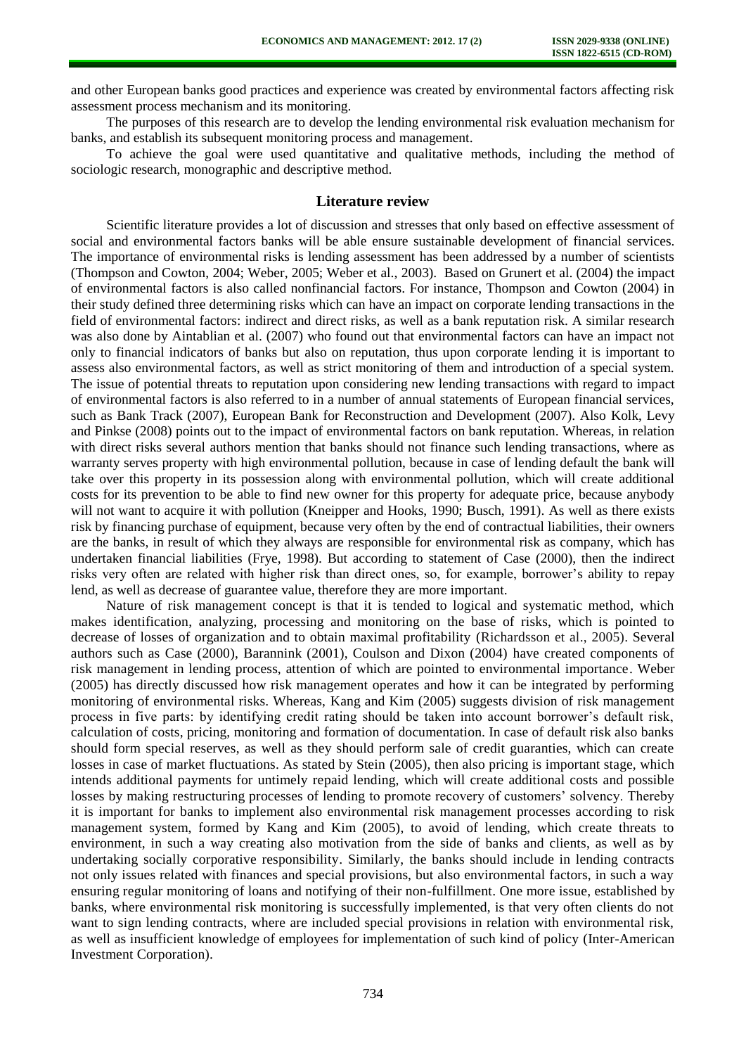and other European banks good practices and experience was created by environmental factors affecting risk assessment process mechanism and its monitoring.

The purposes of this research are to develop the lending environmental risk evaluation mechanism for banks, and establish its subsequent monitoring process and management.

To achieve the goal were used quantitative and qualitative methods, including the method of sociologic research, monographic and descriptive method.

### **Literature review**

Scientific literature provides a lot of discussion and stresses that only based on effective assessment of social and environmental factors banks will be able ensure sustainable development of financial services. The importance of environmental risks is lending assessment has been addressed by a number of scientists (Thompson and Cowton, 2004; Weber, 2005; Weber et al., 2003). Based on Grunert et al. (2004) the impact of environmental factors is also called nonfinancial factors. For instance, Thompson and Cowton (2004) in their study defined three determining risks which can have an impact on corporate lending transactions in the field of environmental factors: indirect and direct risks, as well as a bank reputation risk. A similar research was also done by Aintablian et al. (2007) who found out that environmental factors can have an impact not only to financial indicators of banks but also on reputation, thus upon corporate lending it is important to assess also environmental factors, as well as strict monitoring of them and introduction of a special system. The issue of potential threats to reputation upon considering new lending transactions with regard to impact of environmental factors is also referred to in a number of annual statements of European financial services, such as Bank Track (2007), European Bank for Reconstruction and Development (2007). Also Kolk, Levy and Pinkse (2008) points out to the impact of environmental factors on bank reputation. Whereas, in relation with direct risks several authors mention that banks should not finance such lending transactions, where as warranty serves property with high environmental pollution, because in case of lending default the bank will take over this property in its possession along with environmental pollution, which will create additional costs for its prevention to be able to find new owner for this property for adequate price, because anybody will not want to acquire it with pollution (Kneipper and Hooks, 1990; Busch, 1991). As well as there exists risk by financing purchase of equipment, because very often by the end of contractual liabilities, their owners are the banks, in result of which they always are responsible for environmental risk as company, which has undertaken financial liabilities (Frye, 1998). But according to statement of Case (2000), then the indirect risks very often are related with higher risk than direct ones, so, for example, borrower's ability to repay lend, as well as decrease of guarantee value, therefore they are more important.

Nature of risk management concept is that it is tended to logical and systematic method, which makes identification, analyzing, processing and monitoring on the base of risks, which is pointed to decrease of losses of organization and to obtain maximal profitability (Richardsson et al., 2005). Several authors such as Case (2000), Barannink (2001), Coulson and Dixon (2004) have created components of risk management in lending process, attention of which are pointed to environmental importance. Weber (2005) has directly discussed how risk management operates and how it can be integrated by performing monitoring of environmental risks. Whereas, Kang and Kim (2005) suggests division of risk management process in five parts: by identifying credit rating should be taken into account borrower's default risk, calculation of costs, pricing, monitoring and formation of documentation. In case of default risk also banks should form special reserves, as well as they should perform sale of credit guaranties, which can create losses in case of market fluctuations. As stated by Stein (2005), then also pricing is important stage, which intends additional payments for untimely repaid lending, which will create additional costs and possible losses by making restructuring processes of lending to promote recovery of customers' solvency. Thereby it is important for banks to implement also environmental risk management processes according to risk management system, formed by Kang and Kim (2005), to avoid of lending, which create threats to environment, in such a way creating also motivation from the side of banks and clients, as well as by undertaking socially corporative responsibility. Similarly, the banks should include in lending contracts not only issues related with finances and special provisions, but also environmental factors, in such a way ensuring regular monitoring of loans and notifying of their non-fulfillment. One more issue, established by banks, where environmental risk monitoring is successfully implemented, is that very often clients do not want to sign lending contracts, where are included special provisions in relation with environmental risk, as well as insufficient knowledge of employees for implementation of such kind of policy (Inter-American Investment Corporation).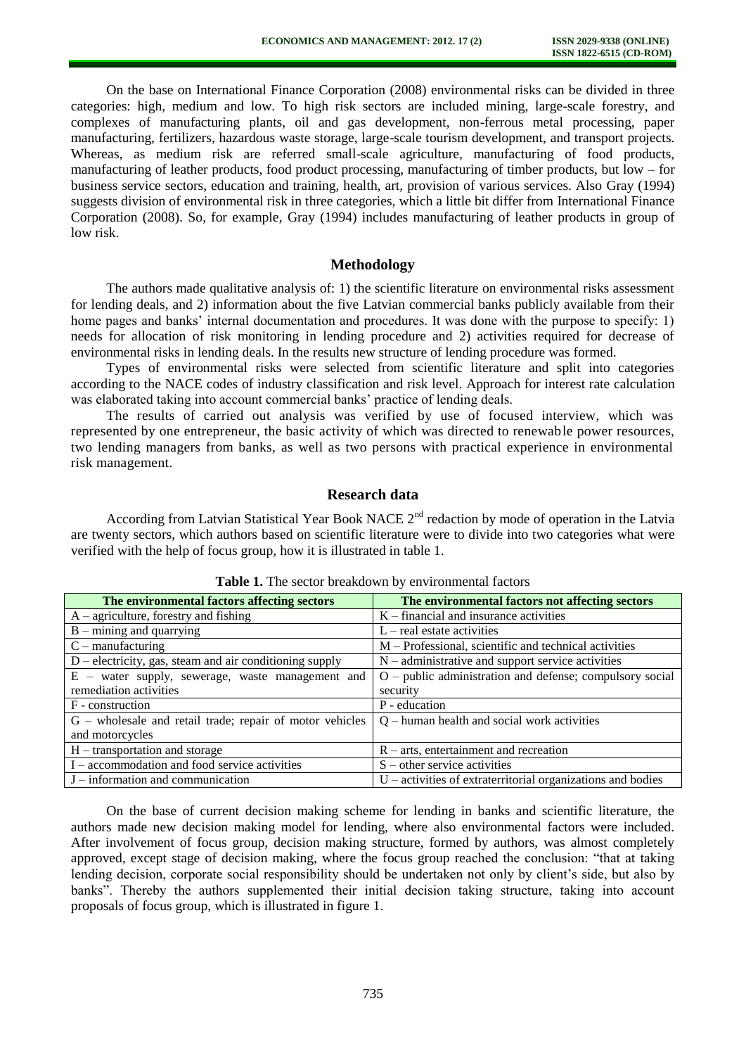On the base on International Finance Corporation (2008) environmental risks can be divided in three categories: high, medium and low. To high risk sectors are included mining, large-scale forestry, and complexes of manufacturing plants, oil and gas development, non-ferrous metal processing, paper manufacturing, fertilizers, hazardous waste storage, large-scale tourism development, and transport projects. Whereas, as medium risk are referred small-scale agriculture, manufacturing of food products, manufacturing of leather products, food product processing, manufacturing of timber products, but low – for business service sectors, education and training, health, art, provision of various services. Also Gray (1994) suggests division of environmental risk in three categories, which a little bit differ from International Finance Corporation (2008). So, for example, Gray (1994) includes manufacturing of leather products in group of low risk.

# **Methodology**

The authors made qualitative analysis of: 1) the scientific literature on environmental risks assessment for lending deals, and 2) information about the five Latvian commercial banks publicly available from their home pages and banks' internal documentation and procedures. It was done with the purpose to specify: 1) needs for allocation of risk monitoring in lending procedure and 2) activities required for decrease of environmental risks in lending deals. In the results new structure of lending procedure was formed.

Types of environmental risks were selected from scientific literature and split into categories according to the NACE codes of industry classification and risk level. Approach for interest rate calculation was elaborated taking into account commercial banks' practice of lending deals.

The results of carried out analysis was verified by use of focused interview, which was represented by one entrepreneur, the basic activity of which was directed to renewable power resources, two lending managers from banks, as well as two persons with practical experience in environmental risk management.

# **Research data**

According from Latvian Statistical Year Book NACE  $2<sup>nd</sup>$  redaction by mode of operation in the Latvia are twenty sectors, which authors based on scientific literature were to divide into two categories what were verified with the help of focus group, how it is illustrated in table 1.

| The environmental factors affecting sectors               | The environmental factors not affecting sectors             |  |  |  |
|-----------------------------------------------------------|-------------------------------------------------------------|--|--|--|
| $A$ – agriculture, forestry and fishing                   | $K$ – financial and insurance activities                    |  |  |  |
| $B$ – mining and quarrying                                | $L$ – real estate activities                                |  |  |  |
| $C$ – manufacturing                                       | M – Professional, scientific and technical activities       |  |  |  |
| $D$ – electricity, gas, steam and air conditioning supply | $N$ – administrative and support service activities         |  |  |  |
| E – water supply, sewerage, waste management and          | O – public administration and defense; compulsory social    |  |  |  |
| remediation activities                                    | security                                                    |  |  |  |
| F - construction                                          | P - education                                               |  |  |  |
| G - wholesale and retail trade; repair of motor vehicles  | $Q$ – human health and social work activities               |  |  |  |
| and motorcycles                                           |                                                             |  |  |  |
| H – transportation and storage                            | $R$ – arts, entertainment and recreation                    |  |  |  |
| I – accommodation and food service activities             | $S$ – other service activities                              |  |  |  |
| $J$ – information and communication                       | U – activities of extraterritorial organizations and bodies |  |  |  |

### **Table 1.** The sector breakdown by environmental factors

On the base of current decision making scheme for lending in banks and scientific literature, the authors made new decision making model for lending, where also environmental factors were included. After involvement of focus group, decision making structure, formed by authors, was almost completely approved, except stage of decision making, where the focus group reached the conclusion: "that at taking lending decision, corporate social responsibility should be undertaken not only by client's side, but also by banks". Thereby the authors supplemented their initial decision taking structure, taking into account proposals of focus group, which is illustrated in figure 1.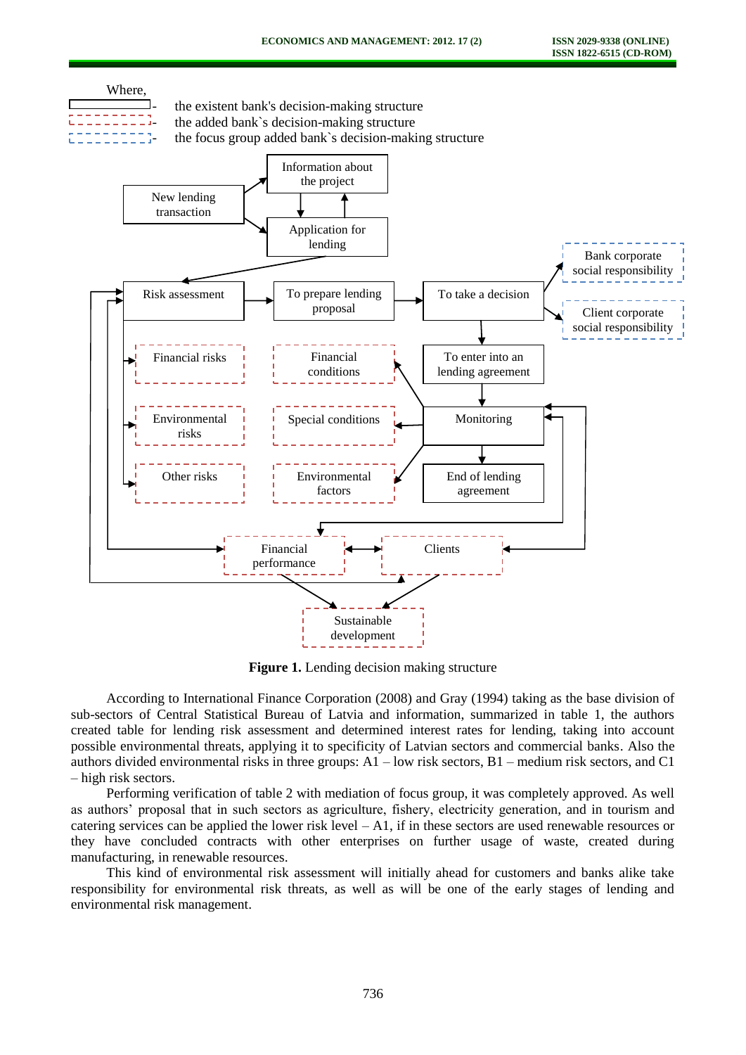

**Figure 1.** Lending decision making structure

According to International Finance Corporation (2008) and Gray (1994) taking as the base division of sub-sectors of Central Statistical Bureau of Latvia and information, summarized in table 1, the authors created table for lending risk assessment and determined interest rates for lending, taking into account possible environmental threats, applying it to specificity of Latvian sectors and commercial banks. Also the authors divided environmental risks in three groups:  $A1$  – low risk sectors,  $B1$  – medium risk sectors, and C1 – high risk sectors.

Performing verification of table 2 with mediation of focus group, it was completely approved. As well as authors' proposal that in such sectors as agriculture, fishery, electricity generation, and in tourism and catering services can be applied the lower risk level  $-A1$ , if in these sectors are used renewable resources or they have concluded contracts with other enterprises on further usage of waste, created during manufacturing, in renewable resources.

This kind of environmental risk assessment will initially ahead for customers and banks alike take responsibility for environmental risk threats, as well as will be one of the early stages of lending and environmental risk management.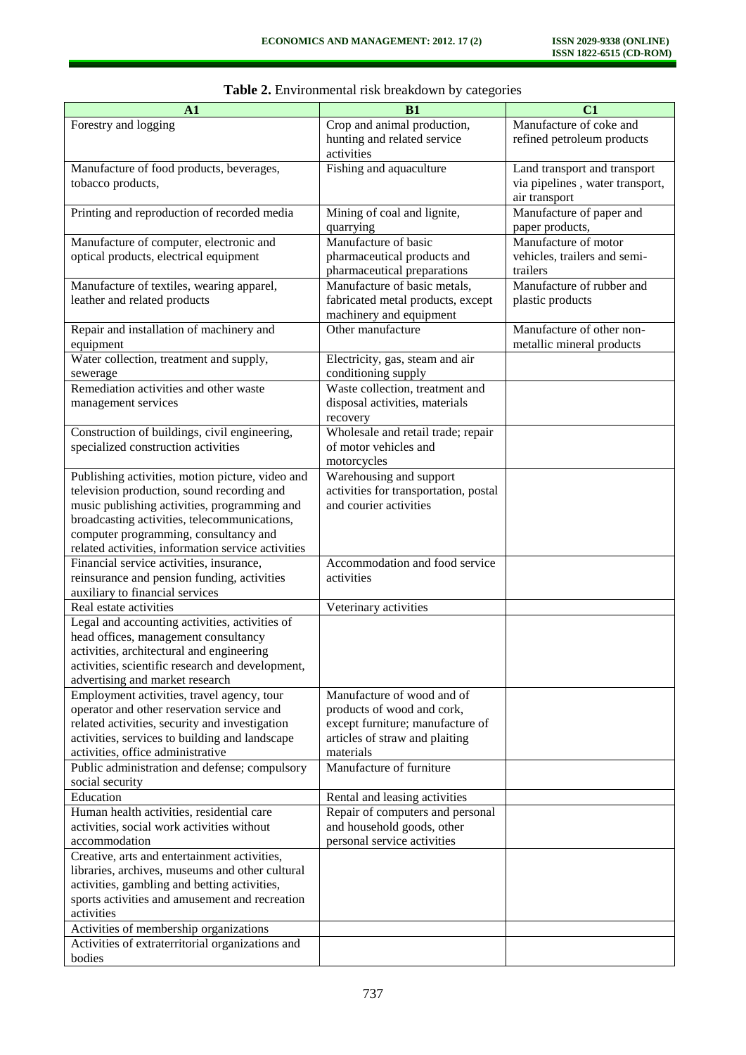| A1                                                                                  | B1                                    | C1                              |
|-------------------------------------------------------------------------------------|---------------------------------------|---------------------------------|
| Forestry and logging                                                                | Crop and animal production,           | Manufacture of coke and         |
|                                                                                     | hunting and related service           | refined petroleum products      |
|                                                                                     | activities                            |                                 |
| Manufacture of food products, beverages,                                            | Fishing and aquaculture               | Land transport and transport    |
| tobacco products,                                                                   |                                       | via pipelines, water transport, |
|                                                                                     |                                       | air transport                   |
| Printing and reproduction of recorded media                                         | Mining of coal and lignite,           | Manufacture of paper and        |
|                                                                                     | quarrying                             | paper products,                 |
| Manufacture of computer, electronic and                                             | Manufacture of basic                  | Manufacture of motor            |
| optical products, electrical equipment                                              | pharmaceutical products and           | vehicles, trailers and semi-    |
|                                                                                     | pharmaceutical preparations           | trailers                        |
| Manufacture of textiles, wearing apparel,                                           | Manufacture of basic metals,          | Manufacture of rubber and       |
| leather and related products                                                        | fabricated metal products, except     | plastic products                |
|                                                                                     | machinery and equipment               |                                 |
| Repair and installation of machinery and                                            | Other manufacture                     | Manufacture of other non-       |
| equipment                                                                           |                                       | metallic mineral products       |
| Water collection, treatment and supply,                                             | Electricity, gas, steam and air       |                                 |
| sewerage                                                                            | conditioning supply                   |                                 |
| Remediation activities and other waste                                              | Waste collection, treatment and       |                                 |
| management services                                                                 | disposal activities, materials        |                                 |
|                                                                                     | recovery                              |                                 |
| Construction of buildings, civil engineering,                                       | Wholesale and retail trade; repair    |                                 |
| specialized construction activities                                                 | of motor vehicles and                 |                                 |
|                                                                                     | motorcycles                           |                                 |
| Publishing activities, motion picture, video and                                    | Warehousing and support               |                                 |
| television production, sound recording and                                          | activities for transportation, postal |                                 |
| music publishing activities, programming and                                        | and courier activities                |                                 |
| broadcasting activities, telecommunications,                                        |                                       |                                 |
| computer programming, consultancy and                                               |                                       |                                 |
| related activities, information service activities                                  |                                       |                                 |
| Financial service activities, insurance,                                            | Accommodation and food service        |                                 |
| reinsurance and pension funding, activities                                         | activities                            |                                 |
| auxiliary to financial services                                                     |                                       |                                 |
| Real estate activities                                                              | Veterinary activities                 |                                 |
| Legal and accounting activities, activities of                                      |                                       |                                 |
| head offices, management consultancy                                                |                                       |                                 |
| activities, architectural and engineering                                           |                                       |                                 |
| activities, scientific research and development,<br>advertising and market research |                                       |                                 |
| Employment activities, travel agency, tour                                          | Manufacture of wood and of            |                                 |
| operator and other reservation service and                                          | products of wood and cork,            |                                 |
| related activities, security and investigation                                      | except furniture; manufacture of      |                                 |
| activities, services to building and landscape                                      | articles of straw and plaiting        |                                 |
| activities, office administrative                                                   | materials                             |                                 |
| Public administration and defense; compulsory                                       | Manufacture of furniture              |                                 |
| social security                                                                     |                                       |                                 |
| Education                                                                           | Rental and leasing activities         |                                 |
| Human health activities, residential care                                           | Repair of computers and personal      |                                 |
| activities, social work activities without                                          | and household goods, other            |                                 |
| accommodation                                                                       | personal service activities           |                                 |
| Creative, arts and entertainment activities,                                        |                                       |                                 |
| libraries, archives, museums and other cultural                                     |                                       |                                 |
| activities, gambling and betting activities,                                        |                                       |                                 |
| sports activities and amusement and recreation                                      |                                       |                                 |
| activities                                                                          |                                       |                                 |
| Activities of membership organizations                                              |                                       |                                 |
| Activities of extraterritorial organizations and                                    |                                       |                                 |
| bodies                                                                              |                                       |                                 |

|  | Table 2. Environmental risk breakdown by categories |  |  |  |  |
|--|-----------------------------------------------------|--|--|--|--|
|--|-----------------------------------------------------|--|--|--|--|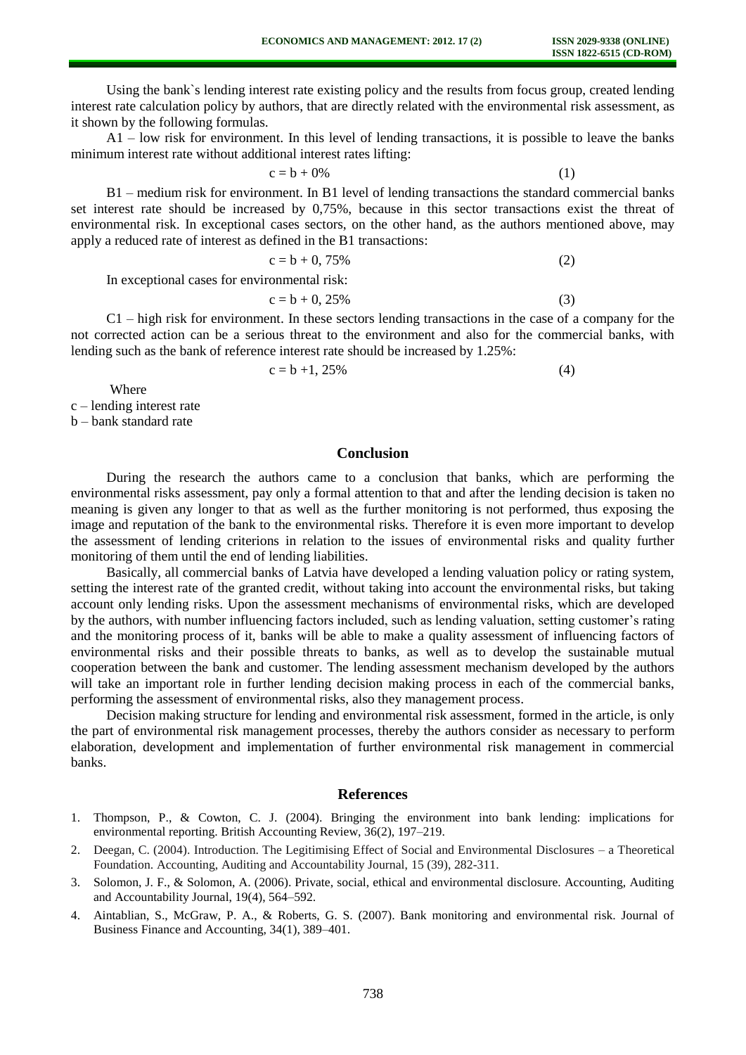Using the bank`s lending interest rate existing policy and the results from focus group, created lending interest rate calculation policy by authors, that are directly related with the environmental risk assessment, as it shown by the following formulas.

A1 – low risk for environment. In this level of lending transactions, it is possible to leave the banks minimum interest rate without additional interest rates lifting:

$$
c = b + 0\% \tag{1}
$$

B1 – medium risk for environment. In B1 level of lending transactions the standard commercial banks set interest rate should be increased by 0,75%, because in this sector transactions exist the threat of environmental risk. In exceptional cases sectors, on the other hand, as the authors mentioned above, may apply a reduced rate of interest as defined in the B1 transactions:

$$
c = b + 0,75\% \tag{2}
$$

In exceptional cases for environmental risk:

 $c = b + 0, 25\%$  (3)

C1 – high risk for environment. In these sectors lending transactions in the case of a company for the not corrected action can be a serious threat to the environment and also for the commercial banks, with lending such as the bank of reference interest rate should be increased by 1.25%:

 $c = b +1, 25\%$  (4)

Where

c – lending interest rate

b – bank standard rate

# **Conclusion**

During the research the authors came to a conclusion that banks, which are performing the environmental risks assessment, pay only a formal attention to that and after the lending decision is taken no meaning is given any longer to that as well as the further monitoring is not performed, thus exposing the image and reputation of the bank to the environmental risks. Therefore it is even more important to develop the assessment of lending criterions in relation to the issues of environmental risks and quality further monitoring of them until the end of lending liabilities.

Basically, all commercial banks of Latvia have developed a lending valuation policy or rating system, setting the interest rate of the granted credit, without taking into account the environmental risks, but taking account only lending risks. Upon the assessment mechanisms of environmental risks, which are developed by the authors, with number influencing factors included, such as lending valuation, setting customer's rating and the monitoring process of it, banks will be able to make a quality assessment of influencing factors of environmental risks and their possible threats to banks, as well as to develop the sustainable mutual cooperation between the bank and customer. The lending assessment mechanism developed by the authors will take an important role in further lending decision making process in each of the commercial banks, performing the assessment of environmental risks, also they management process.

Decision making structure for lending and environmental risk assessment, formed in the article, is only the part of environmental risk management processes, thereby the authors consider as necessary to perform elaboration, development and implementation of further environmental risk management in commercial banks.

### **References**

- 1. Thompson, P., & Cowton, C. J. (2004). Bringing the environment into bank lending: implications for environmental reporting. British Accounting Review, 36(2), 197–219.
- 2. Deegan, C. (2004). Introduction. The Legitimising Effect of Social and Environmental Disclosures a Theoretical Foundation. Accounting, Auditing and Accountability Journal, 15 (39), 282-311.
- 3. Solomon, J. F., & Solomon, A. (2006). Private, social, ethical and environmental disclosure. Accounting, Auditing and Accountability Journal, 19(4), 564–592.
- 4. Aintablian, S., McGraw, P. A., & Roberts, G. S. (2007). Bank monitoring and environmental risk. Journal of Business Finance and Accounting, 34(1), 389–401.